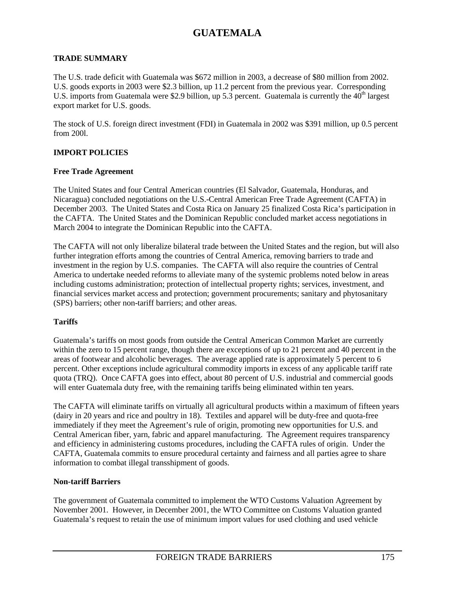### **TRADE SUMMARY**

The U.S. trade deficit with Guatemala was \$672 million in 2003, a decrease of \$80 million from 2002. U.S. goods exports in 2003 were \$2.3 billion, up 11.2 percent from the previous year. Corresponding U.S. imports from Guatemala were \$2.9 billion, up 5.3 percent. Guatemala is currently the  $40<sup>th</sup>$  largest export market for U.S. goods.

The stock of U.S. foreign direct investment (FDI) in Guatemala in 2002 was \$391 million, up 0.5 percent from 200l.

### **IMPORT POLICIES**

#### **Free Trade Agreement**

The United States and four Central American countries (El Salvador, Guatemala, Honduras, and Nicaragua) concluded negotiations on the U.S.-Central American Free Trade Agreement (CAFTA) in December 2003. The United States and Costa Rica on January 25 finalized Costa Rica's participation in the CAFTA. The United States and the Dominican Republic concluded market access negotiations in March 2004 to integrate the Dominican Republic into the CAFTA.

The CAFTA will not only liberalize bilateral trade between the United States and the region, but will also further integration efforts among the countries of Central America, removing barriers to trade and investment in the region by U.S. companies. The CAFTA will also require the countries of Central America to undertake needed reforms to alleviate many of the systemic problems noted below in areas including customs administration; protection of intellectual property rights; services, investment, and financial services market access and protection; government procurements; sanitary and phytosanitary (SPS) barriers; other non-tariff barriers; and other areas.

### **Tariffs**

Guatemala's tariffs on most goods from outside the Central American Common Market are currently within the zero to 15 percent range, though there are exceptions of up to 21 percent and 40 percent in the areas of footwear and alcoholic beverages. The average applied rate is approximately 5 percent to 6 percent. Other exceptions include agricultural commodity imports in excess of any applicable tariff rate quota (TRQ). Once CAFTA goes into effect, about 80 percent of U.S. industrial and commercial goods will enter Guatemala duty free, with the remaining tariffs being eliminated within ten years.

The CAFTA will eliminate tariffs on virtually all agricultural products within a maximum of fifteen years (dairy in 20 years and rice and poultry in 18). Textiles and apparel will be duty-free and quota-free immediately if they meet the Agreement's rule of origin, promoting new opportunities for U.S. and Central American fiber, yarn, fabric and apparel manufacturing. The Agreement requires transparency and efficiency in administering customs procedures, including the CAFTA rules of origin. Under the CAFTA, Guatemala commits to ensure procedural certainty and fairness and all parties agree to share information to combat illegal transshipment of goods.

#### **Non-tariff Barriers**

The government of Guatemala committed to implement the WTO Customs Valuation Agreement by November 2001. However, in December 2001, the WTO Committee on Customs Valuation granted Guatemala's request to retain the use of minimum import values for used clothing and used vehicle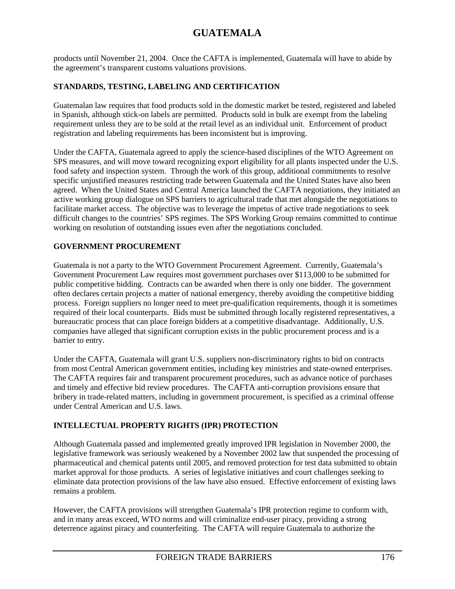products until November 21, 2004. Once the CAFTA is implemented, Guatemala will have to abide by the agreement's transparent customs valuations provisions.

## **STANDARDS, TESTING, LABELING AND CERTIFICATION**

Guatemalan law requires that food products sold in the domestic market be tested, registered and labeled in Spanish, although stick-on labels are permitted. Products sold in bulk are exempt from the labeling requirement unless they are to be sold at the retail level as an individual unit. Enforcement of product registration and labeling requirements has been inconsistent but is improving.

Under the CAFTA, Guatemala agreed to apply the science-based disciplines of the WTO Agreement on SPS measures, and will move toward recognizing export eligibility for all plants inspected under the U.S. food safety and inspection system. Through the work of this group, additional commitments to resolve specific unjustified measures restricting trade between Guatemala and the United States have also been agreed. When the United States and Central America launched the CAFTA negotiations, they initiated an active working group dialogue on SPS barriers to agricultural trade that met alongside the negotiations to facilitate market access. The objective was to leverage the impetus of active trade negotiations to seek difficult changes to the countries' SPS regimes. The SPS Working Group remains committed to continue working on resolution of outstanding issues even after the negotiations concluded.

## **GOVERNMENT PROCUREMENT**

Guatemala is not a party to the WTO Government Procurement Agreement. Currently, Guatemala's Government Procurement Law requires most government purchases over \$113,000 to be submitted for public competitive bidding. Contracts can be awarded when there is only one bidder. The government often declares certain projects a matter of national emergency, thereby avoiding the competitive bidding process. Foreign suppliers no longer need to meet pre-qualification requirements, though it is sometimes required of their local counterparts. Bids must be submitted through locally registered representatives, a bureaucratic process that can place foreign bidders at a competitive disadvantage. Additionally, U.S. companies have alleged that significant corruption exists in the public procurement process and is a barrier to entry.

Under the CAFTA, Guatemala will grant U.S. suppliers non-discriminatory rights to bid on contracts from most Central American government entities, including key ministries and state-owned enterprises. The CAFTA requires fair and transparent procurement procedures, such as advance notice of purchases and timely and effective bid review procedures. The CAFTA anti-corruption provisions ensure that bribery in trade-related matters, including in government procurement, is specified as a criminal offense under Central American and U.S. laws.

## **INTELLECTUAL PROPERTY RIGHTS (IPR) PROTECTION**

Although Guatemala passed and implemented greatly improved IPR legislation in November 2000, the legislative framework was seriously weakened by a November 2002 law that suspended the processing of pharmaceutical and chemical patents until 2005, and removed protection for test data submitted to obtain market approval for those products. A series of legislative initiatives and court challenges seeking to eliminate data protection provisions of the law have also ensued. Effective enforcement of existing laws remains a problem.

However, the CAFTA provisions will strengthen Guatemala's IPR protection regime to conform with, and in many areas exceed, WTO norms and will criminalize end-user piracy, providing a strong deterrence against piracy and counterfeiting. The CAFTA will require Guatemala to authorize the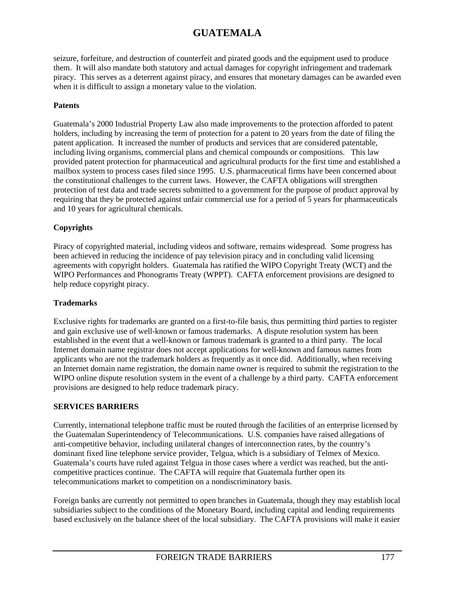seizure, forfeiture, and destruction of counterfeit and pirated goods and the equipment used to produce them. It will also mandate both statutory and actual damages for copyright infringement and trademark piracy. This serves as a deterrent against piracy, and ensures that monetary damages can be awarded even when it is difficult to assign a monetary value to the violation.

### **Patents**

Guatemala's 2000 Industrial Property Law also made improvements to the protection afforded to patent holders, including by increasing the term of protection for a patent to 20 years from the date of filing the patent application. It increased the number of products and services that are considered patentable, including living organisms, commercial plans and chemical compounds or compositions. This law provided patent protection for pharmaceutical and agricultural products for the first time and established a mailbox system to process cases filed since 1995. U.S. pharmaceutical firms have been concerned about the constitutional challenges to the current laws. However, the CAFTA obligations will strengthen protection of test data and trade secrets submitted to a government for the purpose of product approval by requiring that they be protected against unfair commercial use for a period of 5 years for pharmaceuticals and 10 years for agricultural chemicals.

### **Copyrights**

Piracy of copyrighted material, including videos and software, remains widespread. Some progress has been achieved in reducing the incidence of pay television piracy and in concluding valid licensing agreements with copyright holders. Guatemala has ratified the WIPO Copyright Treaty (WCT) and the WIPO Performances and Phonograms Treaty (WPPT). CAFTA enforcement provisions are designed to help reduce copyright piracy.

### **Trademarks**

Exclusive rights for trademarks are granted on a first-to-file basis, thus permitting third parties to register and gain exclusive use of well-known or famous trademarks. A dispute resolution system has been established in the event that a well-known or famous trademark is granted to a third party. The local Internet domain name registrar does not accept applications for well-known and famous names from applicants who are not the trademark holders as frequently as it once did. Additionally, when receiving an Internet domain name registration, the domain name owner is required to submit the registration to the WIPO online dispute resolution system in the event of a challenge by a third party. CAFTA enforcement provisions are designed to help reduce trademark piracy.

### **SERVICES BARRIERS**

Currently, international telephone traffic must be routed through the facilities of an enterprise licensed by the Guatemalan Superintendency of Telecommunications. U.S. companies have raised allegations of anti-competitive behavior, including unilateral changes of interconnection rates, by the country's dominant fixed line telephone service provider, Telgua, which is a subsidiary of Telmex of Mexico. Guatemala's courts have ruled against Telgua in those cases where a verdict was reached, but the anticompetitive practices continue. The CAFTA will require that Guatemala further open its telecommunications market to competition on a nondiscriminatory basis.

Foreign banks are currently not permitted to open branches in Guatemala, though they may establish local subsidiaries subject to the conditions of the Monetary Board, including capital and lending requirements based exclusively on the balance sheet of the local subsidiary. The CAFTA provisions will make it easier